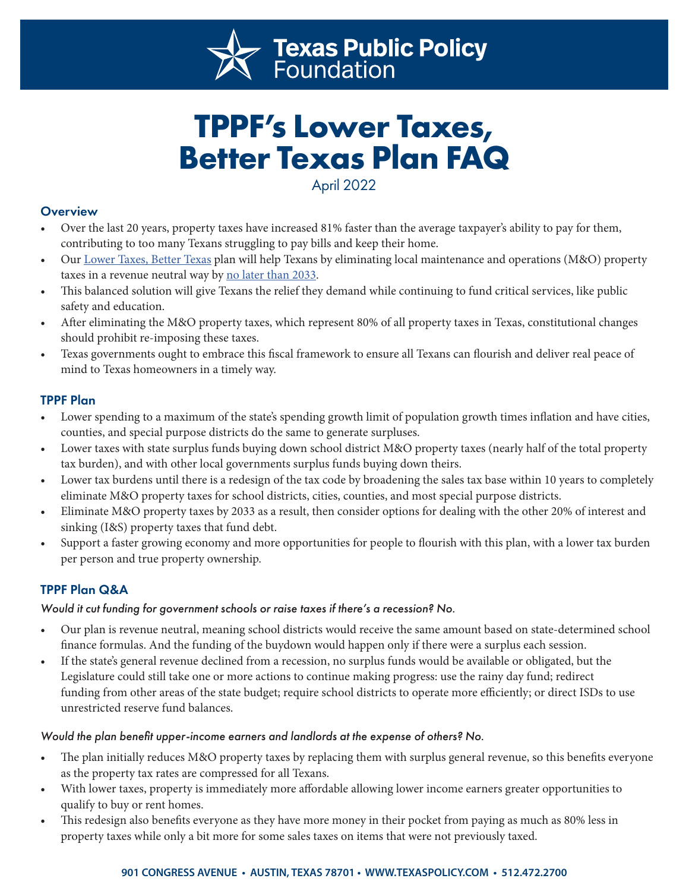

# **TPPF's Lower Taxes, Better Texas Plan FAQ** April 2022

## **Overview**

- Over the last 20 years, property taxes have increased 81% faster than the average taxpayer's ability to pay for them, contributing to too many Texans struggling to pay bills and keep their home.
- Our [Lower Taxes, Better Texas](https://www.texaspolicy.com/lower-taxes-better-texas/) plan will help Texans by eliminating local maintenance and operations (M&O) property taxes in a revenue neutral way by [no later than 2033.](https://www.texaspolicy.com/lower-taxes-better-texas-eliminate-property-taxes-by-2033/)
- This balanced solution will give Texans the relief they demand while continuing to fund critical services, like public safety and education.
- After eliminating the M&O property taxes, which represent 80% of all property taxes in Texas, constitutional changes should prohibit re-imposing these taxes.
- Texas governments ought to embrace this fiscal framework to ensure all Texans can flourish and deliver real peace of mind to Texas homeowners in a timely way.

## TPPF Plan

- Lower spending to a maximum of the state's spending growth limit of population growth times inflation and have cities, counties, and special purpose districts do the same to generate surpluses.
- Lower taxes with state surplus funds buying down school district M&O property taxes (nearly half of the total property tax burden), and with other local governments surplus funds buying down theirs.
- Lower tax burdens until there is a redesign of the tax code by broadening the sales tax base within 10 years to completely eliminate M&O property taxes for school districts, cities, counties, and most special purpose districts.
- Eliminate M&O property taxes by 2033 as a result, then consider options for dealing with the other 20% of interest and sinking (I&S) property taxes that fund debt.
- Support a faster growing economy and more opportunities for people to flourish with this plan, with a lower tax burden per person and true property ownership.

# TPPF Plan Q&A

#### *Would it cut funding for government schools or raise taxes if there's a recession? No.*

- Our plan is revenue neutral, meaning school districts would receive the same amount based on state-determined school finance formulas. And the funding of the buydown would happen only if there were a surplus each session.
- If the state's general revenue declined from a recession, no surplus funds would be available or obligated, but the Legislature could still take one or more actions to continue making progress: use the rainy day fund; redirect funding from other areas of the state budget; require school districts to operate more efficiently; or direct ISDs to use unrestricted reserve fund balances.

## *Would the plan benefit upper-income earners and landlords at the expense of others? No.*

- The plan initially reduces M&O property taxes by replacing them with surplus general revenue, so this benefits everyone as the property tax rates are compressed for all Texans.
- With lower taxes, property is immediately more affordable allowing lower income earners greater opportunities to qualify to buy or rent homes.
- This redesign also benefits everyone as they have more money in their pocket from paying as much as 80% less in property taxes while only a bit more for some sales taxes on items that were not previously taxed.

#### **901 CONGRESS AVENUE • AUSTIN, TEXAS 78701 • WWW.TEXASPOLICY.COM • 512.472.2700**